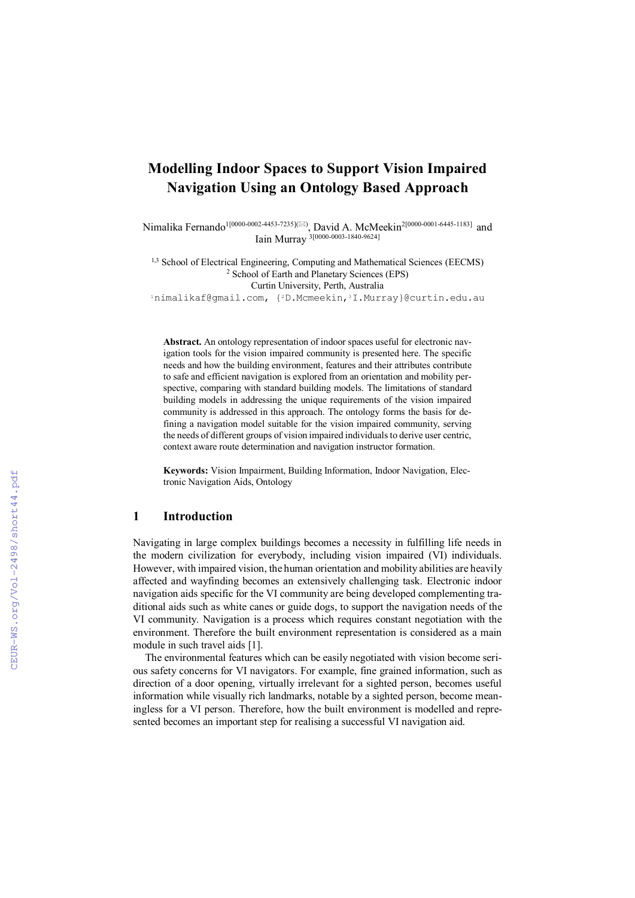# **Modelling Indoor Spaces to Support Vision Impaired Navigation Using an Ontology Based Approach**

Nimalika Fernando<sup>1[0000-0002-4453-7235]</sub>( $\bowtie$ ), David A. McMeekin<sup>2[0000-0001-6445-1183]</sup> and</sup>  $\frac{5}{10000}$ ,  $\frac{1}{20000}$  -0003-1840-9624]

<sup>1,3</sup> School of Electrical Engineering, Computing and Mathematical Sciences (EECMS) <sup>2</sup> School of Earth and Planetary Sciences (EPS) Curtin University, Perth, Australia

<sup>1</sup>nimalikaf@gmail.com, {2D.Mcmeekin,3I.Murray}@curtin.edu.au

**Abstract.** An ontology representation of indoor spaces useful for electronic navigation tools for the vision impaired community is presented here. The specific needs and how the building environment, features and their attributes contribute to safe and efficient navigation is explored from an orientation and mobility perspective, comparing with standard building models. The limitations of standard building models in addressing the unique requirements of the vision impaired community is addressed in this approach. The ontology forms the basis for defining a navigation model suitable for the vision impaired community, serving the needs of different groups of vision impaired individuals to derive user centric, context aware route determination and navigation instructor formation.

**Keywords:** Vision Impairment, Building Information, Indoor Navigation, Electronic Navigation Aids, Ontology

#### **1 Introduction**

Navigating in large complex buildings becomes a necessity in fulfilling life needs in the modern civilization for everybody, including vision impaired (VI) individuals. However, with impaired vision, the human orientation and mobility abilities are heavily affected and wayfinding becomes an extensively challenging task. Electronic indoor navigation aids specific for the VI community are being developed complementing traditional aids such as white canes or guide dogs, to support the navigation needs of the VI community. Navigation is a process which requires constant negotiation with the environment. Therefore the built environment representation is considered as a main module in such travel aids [1].

The environmental features which can be easily negotiated with vision become serious safety concerns for VI navigators. For example, fine grained information, such as direction of a door opening, virtually irrelevant for a sighted person, becomes useful information while visually rich landmarks, notable by a sighted person, become meaningless for a VI person. Therefore, how the built environment is modelled and represented becomes an important step for realising a successful VI navigation aid.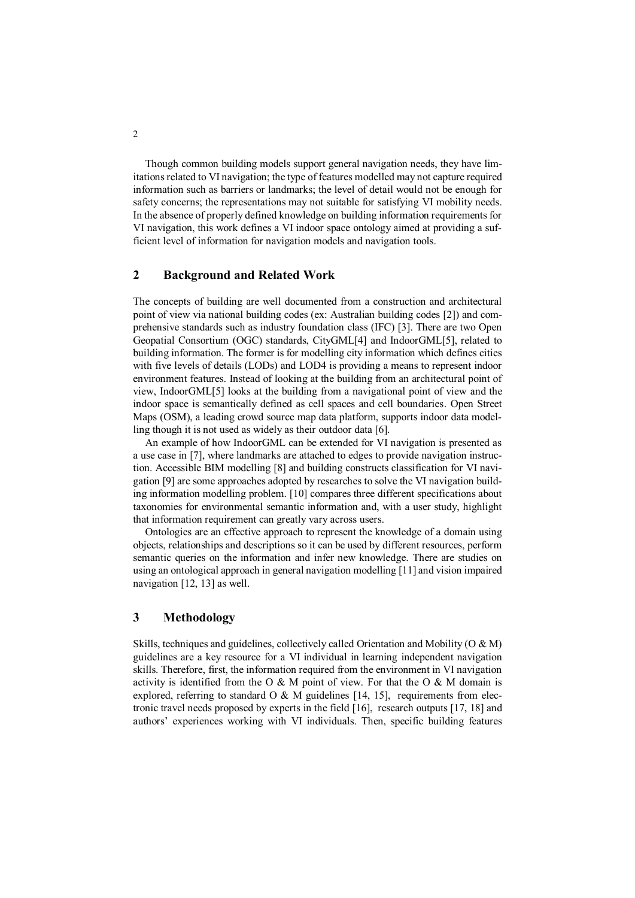Though common building models support general navigation needs, they have limitations related to VI navigation; the type of features modelled may not capture required information such as barriers or landmarks; the level of detail would not be enough for safety concerns; the representations may not suitable for satisfying VI mobility needs. In the absence of properly defined knowledge on building information requirements for VI navigation, this work defines a VI indoor space ontology aimed at providing a sufficient level of information for navigation models and navigation tools.

## **2 Background and Related Work**

The concepts of building are well documented from a construction and architectural point of view via national building codes (ex: Australian building codes [2]) and comprehensive standards such as industry foundation class (IFC) [3]. There are two Open Geopatial Consortium (OGC) standards, CityGML[4] and IndoorGML[5], related to building information. The former is for modelling city information which defines cities with five levels of details (LODs) and LOD4 is providing a means to represent indoor environment features. Instead of looking at the building from an architectural point of view, IndoorGML[5] looks at the building from a navigational point of view and the indoor space is semantically defined as cell spaces and cell boundaries. Open Street Maps (OSM), a leading crowd source map data platform, supports indoor data modelling though it is not used as widely as their outdoor data [6].

An example of how IndoorGML can be extended for VI navigation is presented as a use case in [7], where landmarks are attached to edges to provide navigation instruction. Accessible BIM modelling [8] and building constructs classification for VI navigation [9] are some approaches adopted by researches to solve the VI navigation building information modelling problem. [10] compares three different specifications about taxonomies for environmental semantic information and, with a user study, highlight that information requirement can greatly vary across users.

Ontologies are an effective approach to represent the knowledge of a domain using objects, relationships and descriptions so it can be used by different resources, perform semantic queries on the information and infer new knowledge. There are studies on using an ontological approach in general navigation modelling [11] and vision impaired navigation [12, 13] as well.

## **3 Methodology**

Skills, techniques and guidelines, collectively called Orientation and Mobility (O & M) guidelines are a key resource for a VI individual in learning independent navigation skills. Therefore, first, the information required from the environment in VI navigation activity is identified from the O  $\&$  M point of view. For that the O  $\&$  M domain is explored, referring to standard O & M guidelines [14, 15], requirements from electronic travel needs proposed by experts in the field [16], research outputs [17, 18] and authors' experiences working with VI individuals. Then, specific building features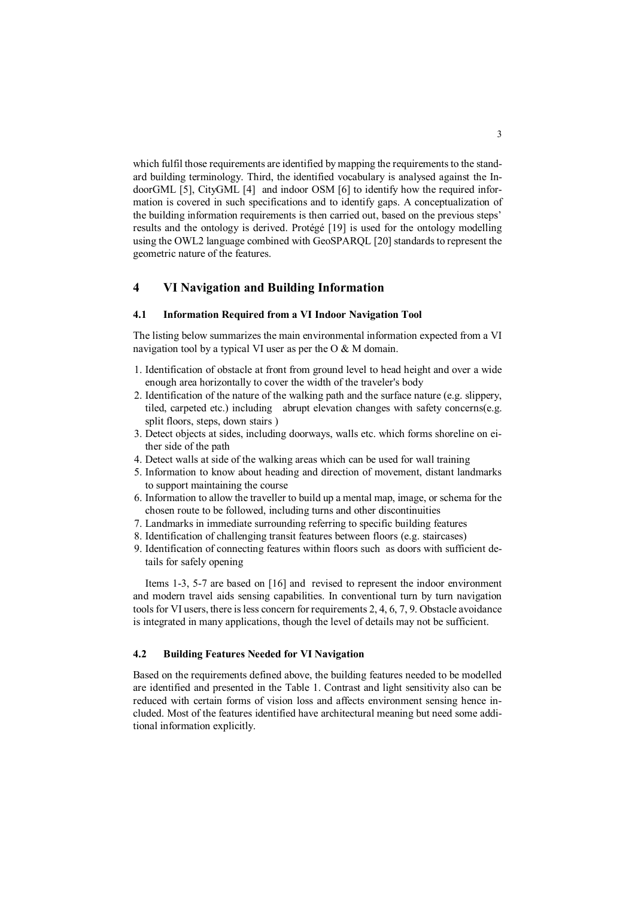which fulfil those requirements are identified by mapping the requirements to the standard building terminology. Third, the identified vocabulary is analysed against the IndoorGML [5], CityGML [4] and indoor OSM [6] to identify how the required information is covered in such specifications and to identify gaps. A conceptualization of the building information requirements is then carried out, based on the previous steps' results and the ontology is derived. Protégé [19] is used for the ontology modelling using the OWL2 language combined with GeoSPARQL [20] standards to represent the geometric nature of the features.

## **4 VI Navigation and Building Information**

#### **4.1 Information Required from a VI Indoor Navigation Tool**

The listing below summarizes the main environmental information expected from a VI navigation tool by a typical VI user as per the  $O & M$  domain.

- 1. Identification of obstacle at front from ground level to head height and over a wide enough area horizontally to cover the width of the traveler's body
- 2. Identification of the nature of the walking path and the surface nature (e.g. slippery, tiled, carpeted etc.) including abrupt elevation changes with safety concerns(e.g. split floors, steps, down stairs )
- 3. Detect objects at sides, including doorways, walls etc. which forms shoreline on either side of the path
- 4. Detect walls at side of the walking areas which can be used for wall training
- 5. Information to know about heading and direction of movement, distant landmarks to support maintaining the course
- 6. Information to allow the traveller to build up a mental map, image, or schema for the chosen route to be followed, including turns and other discontinuities
- 7. Landmarks in immediate surrounding referring to specific building features
- 8. Identification of challenging transit features between floors (e.g. staircases)
- 9. Identification of connecting features within floors such as doors with sufficient details for safely opening

Items 1-3, 5-7 are based on [16] and revised to represent the indoor environment and modern travel aids sensing capabilities. In conventional turn by turn navigation tools for VI users, there is less concern for requirements 2, 4, 6, 7, 9. Obstacle avoidance is integrated in many applications, though the level of details may not be sufficient.

#### **4.2 Building Features Needed for VI Navigation**

Based on the requirements defined above, the building features needed to be modelled are identified and presented in the Table 1. Contrast and light sensitivity also can be reduced with certain forms of vision loss and affects environment sensing hence included. Most of the features identified have architectural meaning but need some additional information explicitly.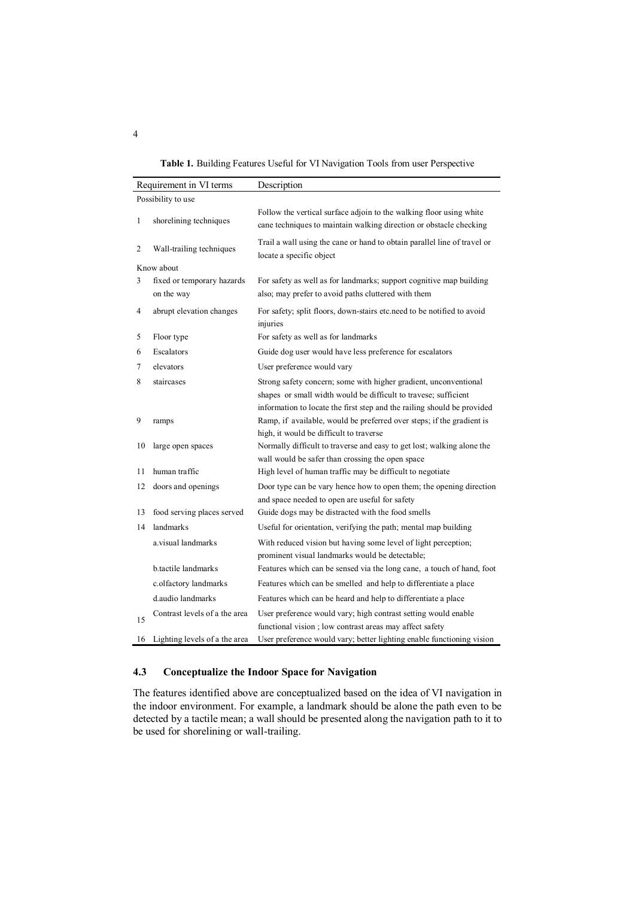**Table 1.** Building Features Useful for VI Navigation Tools from user Perspective

| Requirement in VI terms |                                          | Description                                                                                                                                                                                                    |
|-------------------------|------------------------------------------|----------------------------------------------------------------------------------------------------------------------------------------------------------------------------------------------------------------|
| Possibility to use      |                                          |                                                                                                                                                                                                                |
| 1                       | shorelining techniques                   | Follow the vertical surface adjoin to the walking floor using white<br>cane techniques to maintain walking direction or obstacle checking                                                                      |
| 2                       | Wall-trailing techniques                 | Trail a wall using the cane or hand to obtain parallel line of travel or<br>locate a specific object                                                                                                           |
| Know about              |                                          |                                                                                                                                                                                                                |
| 3                       | fixed or temporary hazards<br>on the way | For safety as well as for landmarks; support cognitive map building<br>also; may prefer to avoid paths cluttered with them                                                                                     |
| 4                       | abrupt elevation changes                 | For safety; split floors, down-stairs etc.need to be notified to avoid<br>injuries                                                                                                                             |
| 5                       | Floor type                               | For safety as well as for landmarks                                                                                                                                                                            |
| 6                       | Escalators                               | Guide dog user would have less preference for escalators                                                                                                                                                       |
| 7                       | elevators                                | User preference would vary                                                                                                                                                                                     |
| 8                       | staircases                               | Strong safety concern; some with higher gradient, unconventional<br>shapes or small width would be difficult to travese; sufficient<br>information to locate the first step and the railing should be provided |
| 9                       | ramps                                    | Ramp, if available, would be preferred over steps; if the gradient is<br>high, it would be difficult to traverse                                                                                               |
| 10                      | large open spaces                        | Normally difficult to traverse and easy to get lost; walking alone the<br>wall would be safer than crossing the open space                                                                                     |
| 11                      | human traffic                            | High level of human traffic may be difficult to negotiate                                                                                                                                                      |
| 12                      | doors and openings                       | Door type can be vary hence how to open them; the opening direction<br>and space needed to open are useful for safety                                                                                          |
| 13                      | food serving places served               | Guide dogs may be distracted with the food smells                                                                                                                                                              |
| 14                      | landmarks                                | Useful for orientation, verifying the path; mental map building                                                                                                                                                |
|                         | a visual landmarks                       | With reduced vision but having some level of light perception;<br>prominent visual landmarks would be detectable;                                                                                              |
|                         | b.tactile landmarks                      | Features which can be sensed via the long cane, a touch of hand, foot                                                                                                                                          |
|                         | c.olfactory landmarks                    | Features which can be smelled and help to differentiate a place                                                                                                                                                |
|                         | d audio landmarks                        | Features which can be heard and help to differentiate a place                                                                                                                                                  |
| 15                      | Contrast levels of a the area            | User preference would vary; high contrast setting would enable<br>functional vision; low contrast areas may affect safety                                                                                      |
| 16                      | Lighting levels of a the area            | User preference would vary; better lighting enable functioning vision                                                                                                                                          |

## **4.3 Conceptualize the Indoor Space for Navigation**

The features identified above are conceptualized based on the idea of VI navigation in the indoor environment. For example, a landmark should be alone the path even to be detected by a tactile mean; a wall should be presented along the navigation path to it to be used for shorelining or wall-trailing.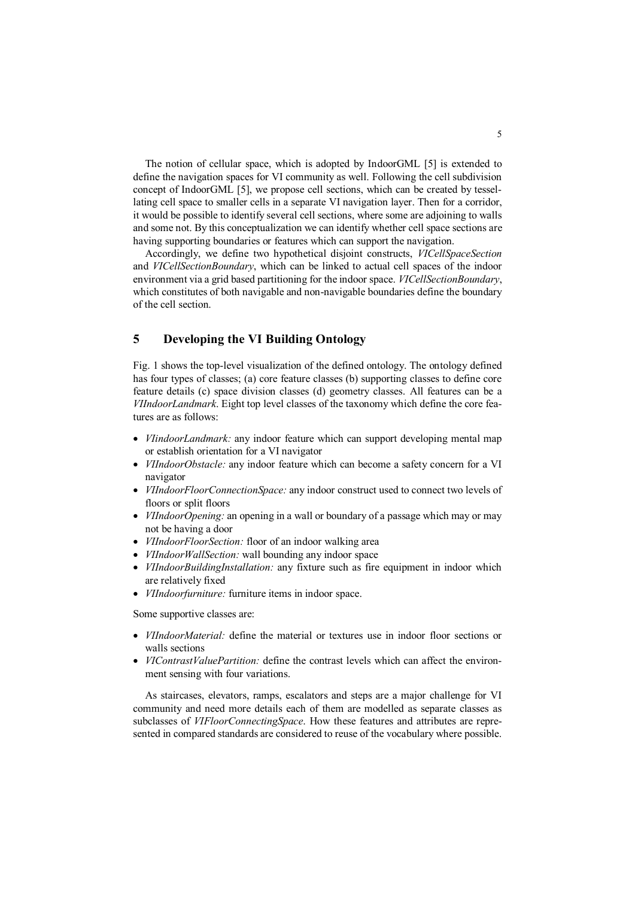The notion of cellular space, which is adopted by IndoorGML [5] is extended to define the navigation spaces for VI community as well. Following the cell subdivision concept of IndoorGML [5], we propose cell sections, which can be created by tessellating cell space to smaller cells in a separate VI navigation layer. Then for a corridor, it would be possible to identify several cell sections, where some are adjoining to walls and some not. By this conceptualization we can identify whether cell space sections are having supporting boundaries or features which can support the navigation.

Accordingly, we define two hypothetical disjoint constructs, *VICellSpaceSection*  and *VICellSectionBoundary*, which can be linked to actual cell spaces of the indoor environment via a grid based partitioning for the indoor space. *VICellSectionBoundary*, which constitutes of both navigable and non-navigable boundaries define the boundary of the cell section.

## **5 Developing the VI Building Ontology**

Fig. 1 shows the top-level visualization of the defined ontology. The ontology defined has four types of classes; (a) core feature classes (b) supporting classes to define core feature details (c) space division classes (d) geometry classes. All features can be a *VIIndoorLandmark*. Eight top level classes of the taxonomy which define the core features are as follows:

- *VIindoorLandmark:* any indoor feature which can support developing mental map or establish orientation for a VI navigator
- *VIIndoorObstacle:* any indoor feature which can become a safety concern for a VI navigator
- *VIIndoorFloorConnectionSpace:* any indoor construct used to connect two levels of floors or split floors
- *VIIndoorOpening:* an opening in a wall or boundary of a passage which may or may not be having a door
- *VIIndoorFloorSection:* floor of an indoor walking area
- *VIIndoorWallSection:* wall bounding any indoor space
- *VIIndoorBuildingInstallation:* any fixture such as fire equipment in indoor which are relatively fixed
- *VIIndoorfurniture:* furniture items in indoor space.

Some supportive classes are:

- *VIIndoorMaterial:* define the material or textures use in indoor floor sections or walls sections
- *VIContrastValuePartition:* define the contrast levels which can affect the environment sensing with four variations.

As staircases, elevators, ramps, escalators and steps are a major challenge for VI community and need more details each of them are modelled as separate classes as subclasses of *VIFloorConnectingSpace*. How these features and attributes are represented in compared standards are considered to reuse of the vocabulary where possible.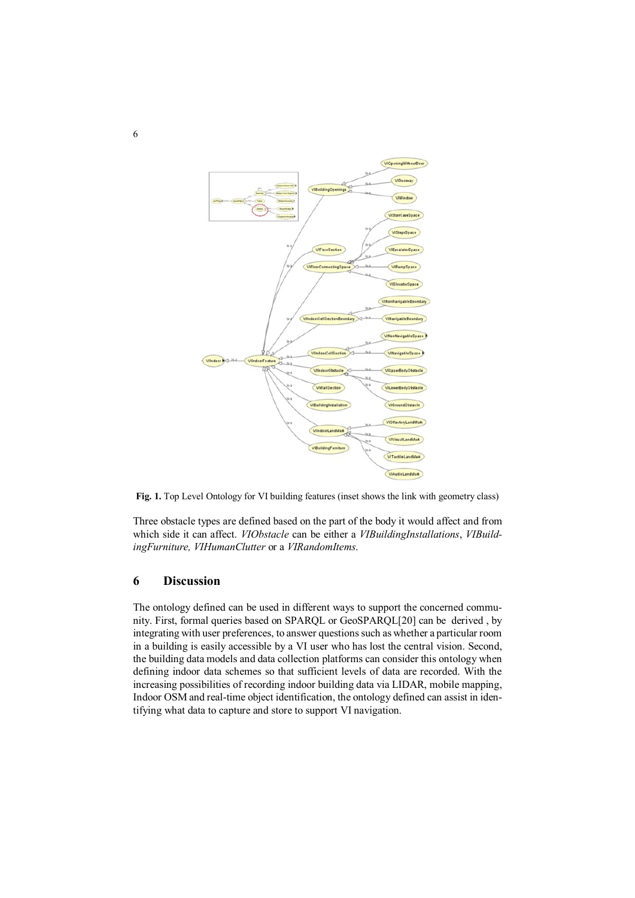

**Fig. 1.** Top Level Ontology for VI building features (inset shows the link with geometry class)

Three obstacle types are defined based on the part of the body it would affect and from which side it can affect. *VIObstacle* can be either a *VIBuildingInstallations*, *VIBuildingFurniture, VIHumanClutter* or a *VIRandomItems*.

#### **6 Discussion**

The ontology defined can be used in different ways to support the concerned community. First, formal queries based on SPARQL or GeoSPARQL[20] can be derived , by integrating with user preferences, to answer questions such as whether a particular room in a building is easily accessible by a VI user who has lost the central vision. Second, the building data models and data collection platforms can consider this ontology when defining indoor data schemes so that sufficient levels of data are recorded. With the increasing possibilities of recording indoor building data via LIDAR, mobile mapping, Indoor OSM and real-time object identification, the ontology defined can assist in identifying what data to capture and store to support VI navigation.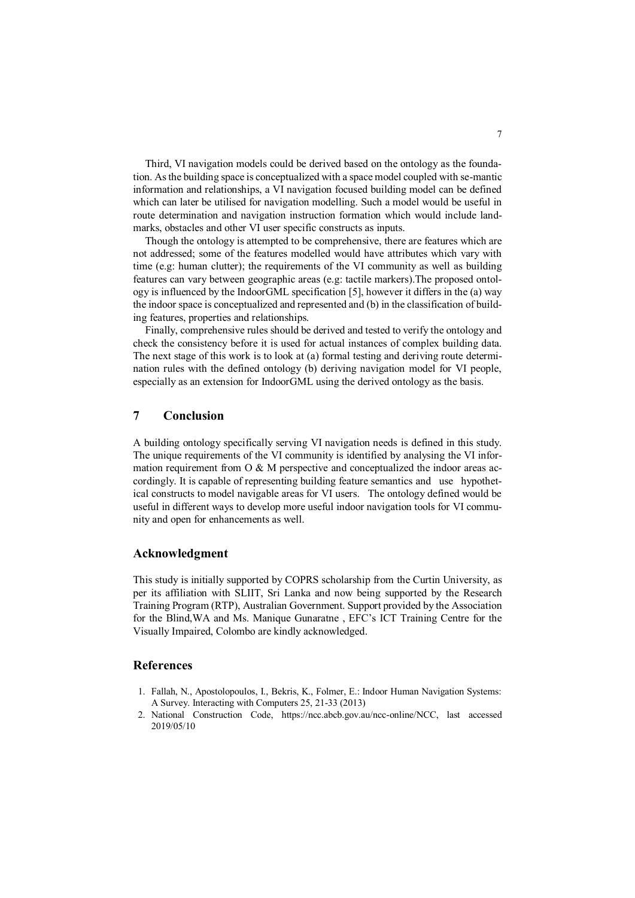Third, VI navigation models could be derived based on the ontology as the foundation. As the building space is conceptualized with a space model coupled with se-mantic information and relationships, a VI navigation focused building model can be defined which can later be utilised for navigation modelling. Such a model would be useful in route determination and navigation instruction formation which would include landmarks, obstacles and other VI user specific constructs as inputs.

Though the ontology is attempted to be comprehensive, there are features which are not addressed; some of the features modelled would have attributes which vary with time (e.g: human clutter); the requirements of the VI community as well as building features can vary between geographic areas (e.g: tactile markers).The proposed ontology is influenced by the IndoorGML specification [5], however it differs in the (a) way the indoor space is conceptualized and represented and (b) in the classification of building features, properties and relationships.

Finally, comprehensive rules should be derived and tested to verify the ontology and check the consistency before it is used for actual instances of complex building data. The next stage of this work is to look at (a) formal testing and deriving route determination rules with the defined ontology (b) deriving navigation model for VI people, especially as an extension for IndoorGML using the derived ontology as the basis.

## **7 Conclusion**

A building ontology specifically serving VI navigation needs is defined in this study. The unique requirements of the VI community is identified by analysing the VI information requirement from  $O & M$  perspective and conceptualized the indoor areas accordingly. It is capable of representing building feature semantics and use hypothetical constructs to model navigable areas for VI users. The ontology defined would be useful in different ways to develop more useful indoor navigation tools for VI community and open for enhancements as well.

#### **Acknowledgment**

This study is initially supported by COPRS scholarship from the Curtin University, as per its affiliation with SLIIT, Sri Lanka and now being supported by the Research Training Program (RTP), Australian Government. Support provided by the Association for the Blind,WA and Ms. Manique Gunaratne , EFC's ICT Training Centre for the Visually Impaired, Colombo are kindly acknowledged.

#### **References**

- 1. Fallah, N., Apostolopoulos, I., Bekris, K., Folmer, E.: Indoor Human Navigation Systems: A Survey. Interacting with Computers 25, 21-33 (2013)
- 2. National Construction Code, https://ncc.abcb.gov.au/ncc-online/NCC, last accessed 2019/05/10